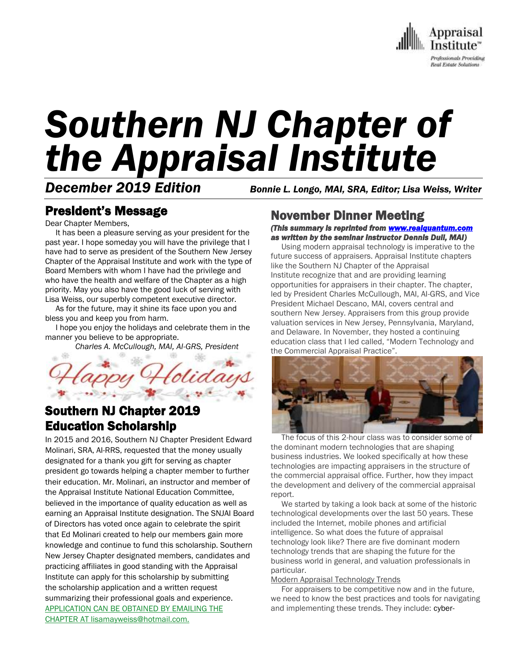

# *Southern NJ Chapter of the Appraisal Institute*

*December 2019 Edition Bonnie L. Longo, MAI, SRA, Editor; Lisa Weiss, Writer*

## President's Message

Dear Chapter Members,

 It has been a pleasure serving as your president for the past year. I hope someday you will have the privilege that I have had to serve as president of the Southern New Jersey Chapter of the Appraisal Institute and work with the type of Board Members with whom I have had the privilege and who have the health and welfare of the Chapter as a high priority. May you also have the good luck of serving with Lisa Weiss, our superbly competent executive director.

 As for the future, may it shine its face upon you and bless you and keep you from harm.

 I hope you enjoy the holidays and celebrate them in the manner you believe to be appropriate.

*Charles A. McCullough, MAI, AI-GRS, President*



## Southern NJ Chapter 2019 Education Scholarship

In 2015 and 2016, Southern NJ Chapter President Edward Molinari, SRA, AI-RRS, requested that the money usually designated for a thank you gift for serving as chapter president go towards helping a chapter member to further their education. Mr. Molinari, an instructor and member of the Appraisal Institute National Education Committee, believed in the importance of quality education as well as earning an Appraisal Institute designation. The SNJAI Board of Directors has voted once again to celebrate the spirit that Ed Molinari created to help our members gain more knowledge and continue to fund this scholarship. Southern New Jersey Chapter designated members, candidates and practicing affiliates in good standing with the Appraisal Institute can apply for this scholarship by submitting the scholarship application and a written request summarizing their professional goals and experience. APPLICATION CAN BE OBTAINED BY EMAILING THE CHAPTER AT lisamayweiss@hotmail.com.

## November Dinner Meeting

*(This summary is reprinted from [www.realquantum.com](http://www.realquantum.com/)  as written by the seminar instructor Dennis Dull, MAI)* 

 Using modern appraisal technology is imperative to the future success of appraisers. Appraisal Institute chapters like the Southern NJ Chapter of the Appraisal Institute recognize that and are providing learning opportunities for appraisers in their chapter. The chapter, led by President Charles McCullough, MAI, AI-GRS, and Vice President Michael Descano, MAI, covers central and southern New Jersey. Appraisers from this group provide valuation services in New Jersey, Pennsylvania, Maryland, and Delaware. In November, they hosted a continuing education class that I led called, "Modern Technology and the Commercial Appraisal Practice".



 The focus of this 2-hour class was to consider some of the dominant modern technologies that are shaping business industries. We looked specifically at how these technologies are impacting appraisers in the structure of the commercial appraisal office. Further, how they impact the development and delivery of the commercial appraisal report.

 We started by taking a look back at some of the historic technological developments over the last 50 years. These included the Internet, mobile phones and artificial intelligence. So what does the future of appraisal technology look like? There are five dominant modern technology trends that are shaping the future for the business world in general, and valuation professionals in particular.

#### Modern Appraisal Technology Trends

 For appraisers to be competitive now and in the future, we need to know the best practices and tools for navigating and implementing these trends. They include: [cyber-](https://www.realquantum.com/appraisal-office-cyber-security-things-you-can-do-now/)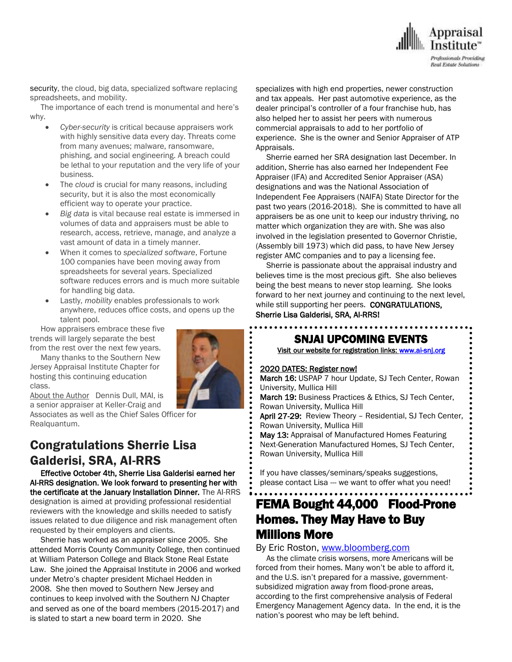

security, the cloud, big data, specialized software replacing spreadsheets, and mobility.

 The importance of each trend is monumental and here's why.

- *Cyber-security* is critical because appraisers work with highly sensitive data every day. Threats come from many avenues; malware, ransomware, phishing, and social engineering. A breach could be lethal to your reputation and the very life of your business.
- The *cloud* is crucial for many reasons, including security, but it is also the most economically efficient way to operate your practice.
- *Big data* is vital because real estate is immersed in volumes of data and appraisers must be able to research, access, retrieve, manage, and analyze a vast amount of data in a timely manner.
- When it comes to *specialized software*, Fortune 100 companies have been moving away from spreadsheets for several years. Specialized software reduces errors and is much more suitable for handling big data.
- Lastly, *mobility* enables professionals to work anywhere, reduces office costs, and opens up the talent pool.

 How appraisers embrace these five trends will largely separate the best from the rest over the next few years.

 Many thanks to the Southern New Jersey Appraisal Institute Chapter for hosting this continuing education class.

About the Author Dennis Dull, MAI, is a senior appraiser at Keller-Craig and

Associates as well as the Chief Sales Officer for Realquantum.

## Congratulations Sherrie Lisa Galderisi, SRA, AI-RRS

 Effective October 4th, Sherrie Lisa Galderisi earned her AI-RRS designation. We look forward to presenting her with the certificate at the January Installation Dinner. The AI-RRS designation is aimed at providing professional residential reviewers with the knowledge and skills needed to satisfy issues related to due diligence and risk management often requested by their employers and clients.

 Sherrie has worked as an appraiser since 2005. She attended Morris County Community College, then continued at William Paterson College and Black Stone Real Estate Law. She joined the Appraisal Institute in 2006 and worked under Metro's chapter president Michael Hedden in 2008. She then moved to Southern New Jersey and continues to keep involved with the Southern NJ Chapter and served as one of the board members (2015-2017) and is slated to start a new board term in 2020. She

specializes with high end properties, newer construction and tax appeals. Her past automotive experience, as the dealer principal's controller of a four franchise hub, has also helped her to assist her peers with numerous commercial appraisals to add to her portfolio of experience. She is the owner and Senior Appraiser of ATP Appraisals.

 Sherrie earned her SRA designation last December. In addition, Sherrie has also earned her Independent Fee Appraiser (IFA) and Accredited Senior Appraiser (ASA) designations and was the National Association of Independent Fee Appraisers (NAIFA) State Director for the past two years (2016-2018). She is committed to have all appraisers be as one unit to keep our industry thriving, no matter which organization they are with. She was also involved in the legislation presented to Governor Christie, (Assembly bill 1973) which did pass, to have New Jersey register AMC companies and to pay a licensing fee.

 Sherrie is passionate about the appraisal industry and believes time is the most precious gift. She also believes being the best means to never stop learning. She looks forward to her next journey and continuing to the next level, while still supporting her peers. CONGRATULATIONS. Sherrie Lisa Galderisi, SRA, AI-RRS!

### . SNJAI UPCOMING EVENTS

[Visit](http://www.myappraisalinstitute.org/education/southernNewJersey) our website for registration links[: www.ai-snj.org](http://www.ai-snj.org/) 

#### 2020 DATES: Register now!

March 16: USPAP 7 hour Update, SJ Tech Center, Rowan University, Mullica Hill

- March 19: Business Practices & Ethics, SJ Tech Center, Rowan University, Mullica Hill
- April 27-29: Review Theory Residential, SJ Tech Center, Rowan University, Mullica Hill
- May 13: Appraisal of Manufactured Homes Featuring Next-Generation Manufactured Homes, SJ Tech Center, Rowan University, Mullica Hill

 If you have classes/seminars/speaks suggestions, please contact Lisa --- we want to offer what you need!

## FEMA Bought 44,000 Flood-Prone Homes. They May Have to Buy Millions More

#### By [Eric Roston,](https://www.bloomberg.com/authors/AQdgGkZhizQ/eric-roston) [www.bloomberg.com](http://www.bloomberg.com/)

 As the climate crisis worsens, more Americans will be forced from their homes. Many won't be able to afford it, and the U.S. isn't prepared for a massive, governmentsubsidized migration away from flood-prone areas, according to the first comprehensive analysis of Federal Emergency Management Agency data. In the end, it is the nation's poorest who may be left behind.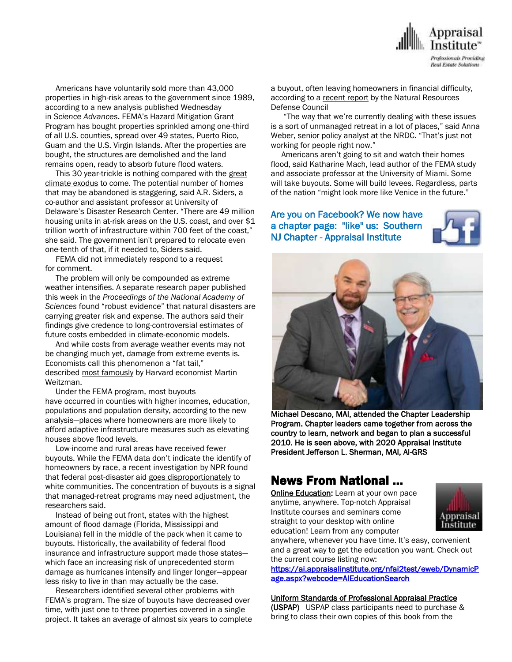

 Americans have voluntarily sold more than 43,000 properties in high-risk areas to the government since 1989, according to a new [analysis](https://advances.sciencemag.org/content/5/10/eaax8995) published Wednesday in *Science Advances*. FEMA's Hazard Mitigation Grant Program has bought properties sprinkled among one-third of all U.S. counties, spread over 49 states, Puerto Rico, Guam and the U.S. Virgin Islands. After the properties are bought, the structures are demolished and the land remains open, ready to absorb future flood waters.

This 30 year-trickle is nothing compared with the [great](https://www.bloomberg.com/news/features/2019-09-20/america-s-great-climate-exodus-is-starting-in-the-florida-keys) [climate](https://www.bloomberg.com/news/features/2019-09-20/america-s-great-climate-exodus-is-starting-in-the-florida-keys) exodus to come. The potential number of homes that may be abandoned is staggering, said A.R. Siders, a co-author and assistant professor at University of Delaware's Disaster Research Center. "There are 49 million housing units in at-risk areas on the U.S. coast, and over \$1 trillion worth of infrastructure within 700 feet of the coast," she said. The government isn't prepared to relocate even one-tenth of that, if it needed to, Siders said.

 FEMA did not immediately respond to a request for comment.

 The problem will only be compounded as extreme weather intensifies. A separate research paper published this week in the *Proceedings of the National Academy of Sciences* found "robust evidence" that natural disasters are carrying greater risk and expense. The authors said their findings give credence to [long-controversial](https://www.pnas.org/content/early/2019/10/01/1907826116) estimates of future costs embedded in climate-economic models.

 And while costs from average weather events may not be changing much yet, damage from extreme events is. Economists call this phenomenon a "fat tail," described most [famously](https://www.bloomberg.com/news/articles/2019-08-29/the-man-who-got-economists-to-take-climate-nightmares-seriously) by Harvard economist Martin Weitzman.

 Under the FEMA program, most buyouts have occurred in counties with higher incomes, education, populations and population density, according to the new analysis—places where homeowners are more likely to afford adaptive infrastructure measures such as elevating houses above flood levels.

 Low-income and rural areas have received fewer buyouts. While the FEMA data don't indicate the identify of homeowners by race, a recent investigation by NPR found that federal post-disaster aid goes [disproportionately](https://www.npr.org/2019/03/05/696995788/search-the-thousands-of-disaster-buyouts-fema-didnt-want-you-to-see) to white communities. The concentration of buyouts is a signal that managed-retreat programs may need adjustment, the researchers said.

 Instead of being out front, states with the highest amount of flood damage (Florida, Mississippi and Louisiana) fell in the middle of the pack when it came to buyouts. Historically, the availability of federal flood insurance and infrastructure support made those states which face an increasing risk of unprecedented storm damage as hurricanes intensify and linger longer—appear less risky to live in than may actually be the case.

 Researchers identified several other problems with FEMA's program. The size of buyouts have decreased over time, with just one to three properties covered in a single project. It takes an average of almost six years to complete a buyout, often leaving homeowners in financial difficulty, according to a [recent](https://www.nrdc.org/resources/going-under-long-wait-times-post-flood-buyouts-leave-homeowners-underwater) report by the Natural Resources Defense Council

 "The way that we're currently dealing with these issues is a sort of unmanaged retreat in a lot of places," said Anna Weber, senior policy analyst at the NRDC. "That's just not working for people right now."

 Americans aren't going to sit and watch their homes flood, said Katharine Mach, lead author of the FEMA study and associate professor at the University of Miami. Some will take buyouts. Some will build levees. Regardless, parts of the nation "might look more like Venice in the future."

Are you on Facebook? We now have a chapter page: "like" us: Southern NJ Chapter - Appraisal Institute





Michael Descano, MAI, attended the Chapter Leadership Program. Chapter leaders came together from across the country to learn, network and began to plan a successful 2010. He is seen above, with 2020 Appraisal Institute President Jefferson L. Sherman, MAI, AI-GRS

## News From National …

**[Online Education:](http://www.mmsend50.com/ls.cfm?r=99596491&sid=8974475&m=957997&u=Appraise&s=http://www.appraisalinstitute.org/online)** Learn at your own pace anytime, anywhere. Top-notch Appraisal Institute courses and seminars come straight to your desktop with online education! Learn from any computer



anywhere, whenever you have time. It's easy, convenient and a great way to get the education you want. Check out the current course listing now:

[https://ai.appraisalinstitute.org/nfai2test/eweb/DynamicP](https://ai.appraisalinstitute.org/nfai2test/eweb/DynamicPage.aspx?webcode=AIEducationSearch) [age.aspx?webcode=AIEducationSearch](https://ai.appraisalinstitute.org/nfai2test/eweb/DynamicPage.aspx?webcode=AIEducationSearch) 

#### Uniform Standards of Professional Appraisal Practice

(USPAP) USPAP class participants need to purchase & bring to class their own copies of this book from the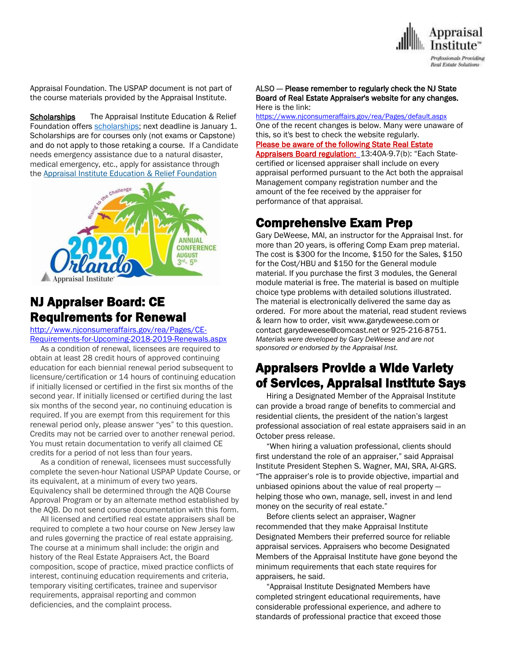

Appraisal Foundation. The USPAP document is not part of the course materials provided by the Appraisal Institute.

**Scholarships** The Appraisal Institute Education & Relief Foundation offers [scholarships;](http://send.appraisalinstitute.org/link.cfm?r=TyxXOooBFM-9kcaVyjABIA~~&pe=k_y06NsR9-tB3atEDYdXWLTTqBM_H3aeIPclU_7mx0sd29sU_T_sOiJTIa3747wAJXWGK_wLmsw-M82swC-Ijw~~&t=jouIQRRPlOfDkLqJe5AmNA~~) next deadline is January 1. Scholarships are for courses only (not exams or Capstone) and do not apply to those retaking a course. If a Candidate needs emergency assistance due to a natural disaster, medical emergency, etc., apply for assistance through the Appraisal Institute Education & Relief Foundation



## NJ Appraiser Board: CE Requirements for Renewal

[http://www.njconsumeraffairs.gov/rea/Pages/CE-](http://www.njconsumeraffairs.gov/rea/Pages/CE-Requirements-for-Upcoming-2018-2019-Renewals.aspx)[Requirements-for-Upcoming-2018-2019-Renewals.aspx](http://www.njconsumeraffairs.gov/rea/Pages/CE-Requirements-for-Upcoming-2018-2019-Renewals.aspx)

 As a condition of renewal, licensees are required to obtain at least 28 credit hours of approved continuing education for each biennial renewal period subsequent to licensure/certification or 14 hours of continuing education if initially licensed or certified in the first six months of the second year. If initially licensed or certified during the last six months of the second year, no continuing education is required. If you are exempt from this requirement for this renewal period only, please answer "yes" to this question. Credits may not be carried over to another renewal period. You must retain documentation to verify all claimed CE credits for a period of not less than four years.

 As a condition of renewal, licensees must successfully complete the seven-hour National USPAP Update Course, or its equivalent, at a minimum of every two years. Equivalency shall be determined through the AQB Course Approval Program or by an alternate method established by the AQB. Do not send course documentation with this form.

 All licensed and certified real estate appraisers shall be required to complete a two hour course on New Jersey law and rules governing the practice of real estate appraising. The course at a minimum shall include: the origin and history of the Real Estate Appraisers Act, the Board composition, scope of practice, mixed practice conflicts of interest, continuing education requirements and criteria, temporary visiting certificates, trainee and supervisor requirements, appraisal reporting and common deficiencies, and the complaint process.

#### ALSO -- Please remember to regularly check the NJ State Board of Real Estate Appraiser's website for any changes. Here is the link:

<https://www.njconsumeraffairs.gov/rea/Pages/default.aspx> One of the recent changes is below. Many were unaware of this, so it's best to check the website regularly[.](https://www.njconsumeraffairs.gov/rea/Pages/default.aspx) Please be aware of the following State Real Estate [Appraisers Board regulation: 13:40A-9.7\(b\):](https://www.njconsumeraffairs.gov/rea/Pages/default.aspx) "Each Statecertified or licensed [appraiser](https://www.njconsumeraffairs.gov/rea/Pages/default.aspx) shall include on every appraisal [performed](https://www.njconsumeraffairs.gov/rea/Pages/default.aspx) pursuant to the Act both the appraisal [Management](https://www.njconsumeraffairs.gov/rea/Pages/default.aspx) company registration number and the amount of the fee received by the [appraiser](https://www.njconsumeraffairs.gov/rea/Pages/default.aspx) for [performance](https://www.njconsumeraffairs.gov/rea/Pages/default.aspx) of that appraisal.

## Comprehensive Exam Prep

Gary DeWeese, MAI, an instructor for the Appraisal Inst. for more than 20 years, is offering Comp Exam prep material. The cost is \$300 for the Income, \$150 for the Sales, \$150 for the Cost/HBU and \$150 for the General module material. If you purchase the first 3 modules, the General module material is free. The material is based on multiple choice type problems with detailed solutions illustrated. The material is electronically delivered the same day as ordered. For more about the material, read student reviews & learn how to order, visit www.garydeweese.com or contact garydeweese@comcast.net or 925-216-8751. *Materials were developed by Gary DeWeese and are not sponsored or endorsed by the Appraisal Inst.*

## Appraisers Provide a Wide Variety of Services, Appraisal Institute Says

 Hiring a Designated Member of the Appraisal Institute can provide a broad range of benefits to commercial and residential clients, the president of the nation's largest professional association of real estate appraisers said in an October press release.

 "When hiring a valuation professional, clients should first understand the role of an appraiser," said Appraisal Institute President Stephen S. Wagner, MAI, SRA, AI-GRS. "The appraiser's role is to provide objective, impartial and unbiased opinions about the value of real property helping those who own, manage, sell, invest in and lend money on the security of real estate."

 Before clients select an appraiser, Wagner recommended that they make Appraisal Institute Designated Members their preferred source for reliable appraisal services. Appraisers who become Designated Members of the Appraisal Institute have gone beyond the minimum requirements that each state requires for appraisers, he said.

 "Appraisal Institute Designated Members have completed stringent educational requirements, have considerable professional experience, and adhere to standards of professional practice that exceed those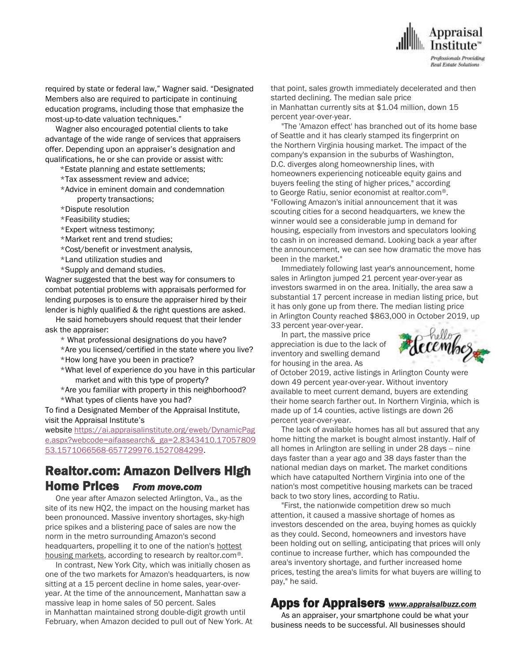

required by state or federal law," Wagner said. "Designated Members also are required to participate in continuing education programs, including those that emphasize the most-up-to-date valuation techniques."

 Wagner also encouraged potential clients to take advantage of the wide range of services that appraisers offer. Depending upon an appraiser's designation and qualifications, he or she can provide or assist with:

- \*Estate planning and estate settlements;
- \*Tax assessment review and advice;
- \*Advice in eminent domain and condemnation property transactions;
- \*Dispute resolution
- \*Feasibility studies;
- \*Expert witness testimony;
- \*Market rent and trend studies;
- \*Cost/benefit or investment analysis,
- \*Land utilization studies and
- \*Supply and demand studies.

Wagner suggested that the best way for consumers to combat potential problems with appraisals performed for lending purposes is to ensure the appraiser hired by their lender is highly qualified & the right questions are asked.

 He said homebuyers should request that their lender ask the appraiser:

\* What professional designations do you have?

\*Are you licensed/certified in the state where you live?

- \*How long have you been in practice?
- \*What level of experience do you have in this particular market and with this type of property?

\*Are you familiar with property in this neighborhood? \*What types of clients have you had?

To find a Designated Member of the Appraisal Institute, visit the Appraisal Institute's

website [https://ai.appraisalinstitute.org/eweb/DynamicPag](https://u7061146.ct.sendgrid.net/wf/click?upn=G62jSYfZdO-2F12d8lSllQB3OjcDfIZtzYqgERzFYug2RkQHtKhX2JzJ-2BTVu13R6t4C-2FZ7vPveVEhsG-2Bh6H76p7hMMpvQpEam3Hlysu7u-2BIHBfjgxWnmjYWx0tx-2BW8BY20-2FhLiyN0VkytPo4kydceNRY-2FxhpEMIlJvgoJ-2F22vQ9Naes-2BUSyyjYX-2B-2FfFoNidUCJ_YRPfbc9BSCpXKTgdcsJ3-2BdZ9g32aJO-2Biq53XIHTGXdPSCWuUi9-2BY6YFy98ZD0OCM91-2B1BhN0lDKy6saJ-2FIaXt1W1ju27t0nAbEQ7uqog-2BIi5t0puBbJ4XOvbRjh8cMa7Yzg1VxI0O4TvUu6h7cfiPLlgMug74dnUoC3aIIMaJVyHtSaOHyXrmmNUMXhy8NjtZCu2tAZtr3HIaA-2FaV5n-2BmM4N50wBWq3qmslIY8Nxl5v7TKnivk1t-2B8XbL9GYWbuFuIm94YDpdPNHkuVf3cPnfKmjj-2FwOv5l4XGNHRf16Y9-2F-2BWjLnlV5YkpewHhx5vLIJKUfARNRCIZVjIfJyh-2BqgvURP9fgAlnhLpQ27BjgMkp4-3D) [e.aspx?webcode=aifaasearch&\\_ga=2.8343410.17057809](https://u7061146.ct.sendgrid.net/wf/click?upn=G62jSYfZdO-2F12d8lSllQB3OjcDfIZtzYqgERzFYug2RkQHtKhX2JzJ-2BTVu13R6t4C-2FZ7vPveVEhsG-2Bh6H76p7hMMpvQpEam3Hlysu7u-2BIHBfjgxWnmjYWx0tx-2BW8BY20-2FhLiyN0VkytPo4kydceNRY-2FxhpEMIlJvgoJ-2F22vQ9Naes-2BUSyyjYX-2B-2FfFoNidUCJ_YRPfbc9BSCpXKTgdcsJ3-2BdZ9g32aJO-2Biq53XIHTGXdPSCWuUi9-2BY6YFy98ZD0OCM91-2B1BhN0lDKy6saJ-2FIaXt1W1ju27t0nAbEQ7uqog-2BIi5t0puBbJ4XOvbRjh8cMa7Yzg1VxI0O4TvUu6h7cfiPLlgMug74dnUoC3aIIMaJVyHtSaOHyXrmmNUMXhy8NjtZCu2tAZtr3HIaA-2FaV5n-2BmM4N50wBWq3qmslIY8Nxl5v7TKnivk1t-2B8XbL9GYWbuFuIm94YDpdPNHkuVf3cPnfKmjj-2FwOv5l4XGNHRf16Y9-2F-2BWjLnlV5YkpewHhx5vLIJKUfARNRCIZVjIfJyh-2BqgvURP9fgAlnhLpQ27BjgMkp4-3D) [53.1571066568-657729976.1527084299.](https://u7061146.ct.sendgrid.net/wf/click?upn=G62jSYfZdO-2F12d8lSllQB3OjcDfIZtzYqgERzFYug2RkQHtKhX2JzJ-2BTVu13R6t4C-2FZ7vPveVEhsG-2Bh6H76p7hMMpvQpEam3Hlysu7u-2BIHBfjgxWnmjYWx0tx-2BW8BY20-2FhLiyN0VkytPo4kydceNRY-2FxhpEMIlJvgoJ-2F22vQ9Naes-2BUSyyjYX-2B-2FfFoNidUCJ_YRPfbc9BSCpXKTgdcsJ3-2BdZ9g32aJO-2Biq53XIHTGXdPSCWuUi9-2BY6YFy98ZD0OCM91-2B1BhN0lDKy6saJ-2FIaXt1W1ju27t0nAbEQ7uqog-2BIi5t0puBbJ4XOvbRjh8cMa7Yzg1VxI0O4TvUu6h7cfiPLlgMug74dnUoC3aIIMaJVyHtSaOHyXrmmNUMXhy8NjtZCu2tAZtr3HIaA-2FaV5n-2BmM4N50wBWq3qmslIY8Nxl5v7TKnivk1t-2B8XbL9GYWbuFuIm94YDpdPNHkuVf3cPnfKmjj-2FwOv5l4XGNHRf16Y9-2F-2BWjLnlV5YkpewHhx5vLIJKUfARNRCIZVjIfJyh-2BqgvURP9fgAlnhLpQ27BjgMkp4-3D)

## Realtor.com: Amazon Delivers High Home Prices *From move.com*

 One year after Amazon selected Arlington, Va., as the site of its new HQ2, the impact on the housing market has been pronounced. Massive inventory shortages, sky-high price spikes and a blistering pace of sales are now the norm in the metro surrounding Amazon's second headquarters, propelling it to one of the nation's hottest [housing markets,](https://c212.net/c/link/?t=0&l=en&o=2641431-1&h=2616228835&u=https%3A%2F%2Fwww.realtor.com%2Fresearch%2Foctober-2019-hottest-housing-markets%2F&a=hottest+housing+markets) according to research by realtor.com*®*.

 In contrast, New York City, which was initially chosen as one of the two markets for Amazon's headquarters, is now sitting at a 15 percent decline in home sales, year-overyear. At the time of the announcement, Manhattan saw a massive leap in home sales of 50 percent. Sales in Manhattan maintained strong double-digit growth until February, when Amazon decided to pull out of New York. At that point, sales growth immediately decelerated and then started declining. The median sale price in Manhattan currently sits at \$1.04 million, down 15 percent year-over-year.

 "The 'Amazon effect' has branched out of its home base of Seattle and it has clearly stamped its fingerprint on the Northern Virginia housing market. The impact of the company's expansion in the suburbs of Washington, D.C. diverges along homeownership lines, with homeowners experiencing noticeable equity gains and buyers feeling the sting of higher prices," according to George Ratiu, senior economist at realtor.com®. "Following Amazon's initial announcement that it was scouting cities for a second headquarters, we knew the winner would see a considerable jump in demand for housing, especially from investors and speculators looking to cash in on increased demand. Looking back a year after the announcement, we can see how dramatic the move has been in the market."

 Immediately following last year's announcement, home sales in Arlington jumped 21 percent year-over-year as investors swarmed in on the area. Initially, the area saw a substantial 17 percent increase in median listing price, but it has only gone up from there. The median listing price in Arlington County reached \$863,000 in October 2019, up 33 percent year-over-year.

 In part, the massive price appreciation is due to the lack of inventory and swelling demand for housing in the area. As



of October 2019, active listings in Arlington County were down 49 percent year-over-year. Without inventory available to meet current demand, buyers are extending their home search farther out. In Northern Virginia, which is made up of 14 counties, active listings are down 26 percent year-over-year.

 The lack of available homes has all but assured that any home hitting the market is bought almost instantly. Half of all homes in Arlington are selling in under 28 days -- nine days faster than a year ago and 38 days faster than the national median days on market. The market conditions which have catapulted Northern Virginia into one of the nation's most competitive housing markets can be traced back to two story lines, according to Ratiu.

 "First, the nationwide competition drew so much attention, it caused a massive shortage of homes as investors descended on the area, buying homes as quickly as they could. Second, homeowners and investors have been holding out on selling, anticipating that prices will only continue to increase further, which has compounded the area's inventory shortage, and further increased home prices, testing the area's limits for what buyers are willing to pay," he said.

## Apps for Appraisers *www.appraisalbuzz.com*

 As an appraiser, your smartphone could be what your business needs to be successful. All businesses should